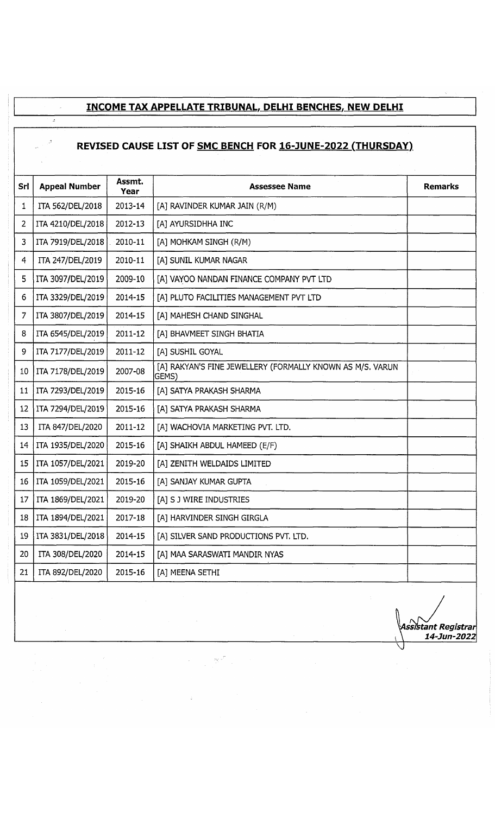#### **INCOME TAX APPELLATE TRIBUNAL. DELHI BENCHES, NEW DELHI**

 $\omega$ 

# **REVISED CAUSE LIST OF <u>SMC BENCH</u> FOR 16-JUNE-2022 (THURSDAY)**

| <b>Srl</b> | <b>Appeal Number</b> | Assmt.<br>Year | <b>Assessee Name</b>                                               | <b>Remarks</b> |
|------------|----------------------|----------------|--------------------------------------------------------------------|----------------|
| 1          | ITA 562/DEL/2018     | 2013-14        | [A] RAVINDER KUMAR JAIN (R/M)                                      |                |
| 2          | ITA 4210/DEL/2018    | 2012-13        | [A] AYURSIDHHA INC                                                 |                |
| 3          | ITA 7919/DEL/2018    | $2010 - 11$    | [A] MOHKAM SINGH (R/M)                                             |                |
| 4          | ITA 247/DEL/2019     | 2010-11        | [A] SUNIL KUMAR NAGAR                                              |                |
| 5          | ITA 3097/DEL/2019    | 2009-10        | [A] VAYOO NANDAN FINANCE COMPANY PVT LTD                           |                |
| 6          | ITA 3329/DEL/2019    | 2014-15        | [A] PLUTO FACILITIES MANAGEMENT PVT LTD                            |                |
| 7          | ITA 3807/DEL/2019    | 2014-15        | [A] MAHESH CHAND SINGHAL                                           |                |
| 8          | ITA 6545/DEL/2019    | 2011-12        | [A] BHAVMEET SINGH BHATIA                                          |                |
| 9          | ITA 7177/DEL/2019    | 2011-12        | [A] SUSHIL GOYAL                                                   |                |
| 10         | ITA 7178/DEL/2019    | 2007-08        | [A] RAKYAN'S FINE JEWELLERY (FORMALLY KNOWN AS M/S. VARUN<br>GEMS) |                |
| 11         | ITA 7293/DEL/2019    | 2015-16        | [A] SATYA PRAKASH SHARMA                                           |                |
| 12         | ITA 7294/DEL/2019    | 2015-16        | [A] SATYA PRAKASH SHARMA                                           |                |
| 13         | ITA 847/DEL/2020     | $2011 - 12$    | [A] WACHOVIA MARKETING PVT. LTD.                                   |                |
| 14         | ITA 1935/DEL/2020    | 2015-16        | [A] SHAIKH ABDUL HAMEED (E/F)                                      |                |
| 15         | ITA 1057/DEL/2021    | 2019-20        | [A] ZENITH WELDAIDS LIMITED                                        |                |
| 16         | ITA 1059/DEL/2021    | 2015-16        | [A] SANJAY KUMAR GUPTA                                             |                |
| 17         | ITA 1869/DEL/2021    | 2019-20        | [A] S J WIRE INDUSTRIES                                            |                |
| 18         | ITA 1894/DEL/2021    | 2017-18        | [A] HARVINDER SINGH GIRGLA                                         |                |
| 19         | ITA 3831/DEL/2018    | 2014-15        | [A] SILVER SAND PRODUCTIONS PVT. LTD.                              |                |
| 20         | ITA 308/DEL/2020     | 2014-15        | [A] MAA SARASWATI MANDIR NYAS                                      |                |
| 21         | ITA 892/DEL/2020     | 2015-16        | [A] MEENA SETHI                                                    |                |

I *r s fy \Assnstant Registrar* i \ *14-JUP-2022*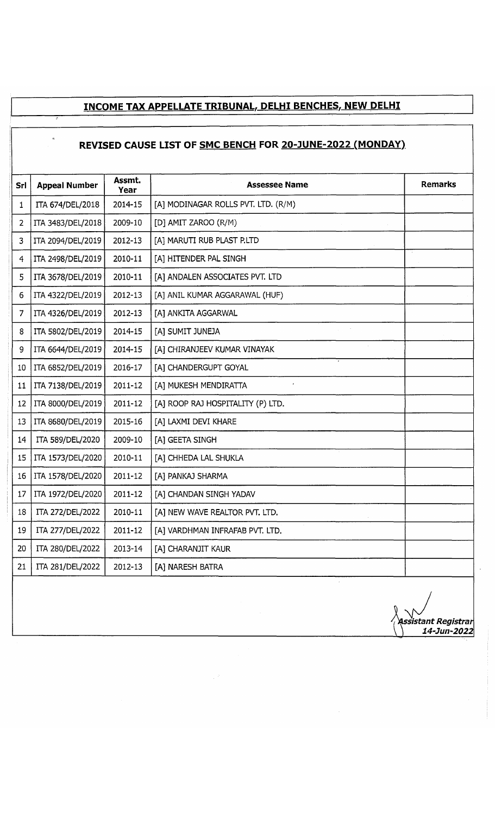# **INCOME TAX APPELLATE TRIBUNAL, DELHI BENCHES, NEW DELHI**

#### **REVISED CAUSE LIST OF SMC BENCH FOR 20-JUNE-2022 (MONDAY}**

t.

| Srl             | <b>Appeal Number</b> | Assmt.<br>Year | <b>Assessee Name</b>                | <b>Remarks</b> |
|-----------------|----------------------|----------------|-------------------------------------|----------------|
| 1               | ITA 674/DEL/2018     | 2014-15        | [A] MODINAGAR ROLLS PVT. LTD. (R/M) |                |
| 2               | ITA 3483/DEL/2018    | 2009-10        | [D] AMIT ZAROO (R/M)                |                |
| 3               | ITA 2094/DEL/2019    | 2012-13        | [A] MARUTI RUB PLAST P.LTD          |                |
| 4               | ITA 2498/DEL/2019    | 2010-11        | [A] HITENDER PAL SINGH              |                |
| 5               | ITA 3678/DEL/2019    | 2010-11        | [A] ANDALEN ASSOCIATES PVT. LTD     |                |
| 6               | ITA 4322/DEL/2019    | 2012-13        | [A] ANIL KUMAR AGGARAWAL (HUF)      |                |
| 7               | ITA 4326/DEL/2019    | 2012-13        | [A] ANKITA AGGARWAL                 |                |
| 8               | ITA 5802/DEL/2019    | 2014-15        | [A] SUMIT JUNEJA                    |                |
| 9               | ITA 6644/DEL/2019    | 2014-15        | [A] CHIRANJEEV KUMAR VINAYAK        |                |
| 10              | ITA 6852/DEL/2019    | 2016-17        | [A] CHANDERGUPT GOYAL               |                |
| 11              | ITA 7138/DEL/2019    | 2011-12        | [A] MUKESH MENDIRATTA               |                |
| 12              | ITA 8000/DEL/2019    | 2011-12        | [A] ROOP RAJ HOSPITALITY (P) LTD.   |                |
| 13              | ITA 8680/DEL/2019    | 2015-16        | [A] LAXMI DEVI KHARE                |                |
| 14              | ITA 589/DEL/2020     | 2009-10        | [A] GEETA SINGH                     |                |
| 15              | ITA 1573/DEL/2020    | 2010-11        | [A] CHHEDA LAL SHUKLA               |                |
| 16              | ITA 1578/DEL/2020    | 2011-12        | [A] PANKAJ SHARMA                   |                |
| 17              | ITA 1972/DEL/2020    | 2011-12        | [A] CHANDAN SINGH YADAV             |                |
| 18              | ITA 272/DEL/2022     | 2010-11        | [A] NEW WAVE REALTOR PVT. LTD.      |                |
| 19 <sup>°</sup> | ITA 277/DEL/2022     | 2011-12        | [A] VARDHMAN INFRAFAB PVT. LTD.     |                |
| 20              | ITA 280/DEL/2022     | 2013-14        | [A] CHARANJIT KAUR                  |                |
| 21              | ITA 281/DEL/2022     | 2012-13        | [A] NARESH BATRA                    |                |
|                 |                      |                |                                     |                |

*'i Assistant Registrar* \ *) 14-Jun-2022*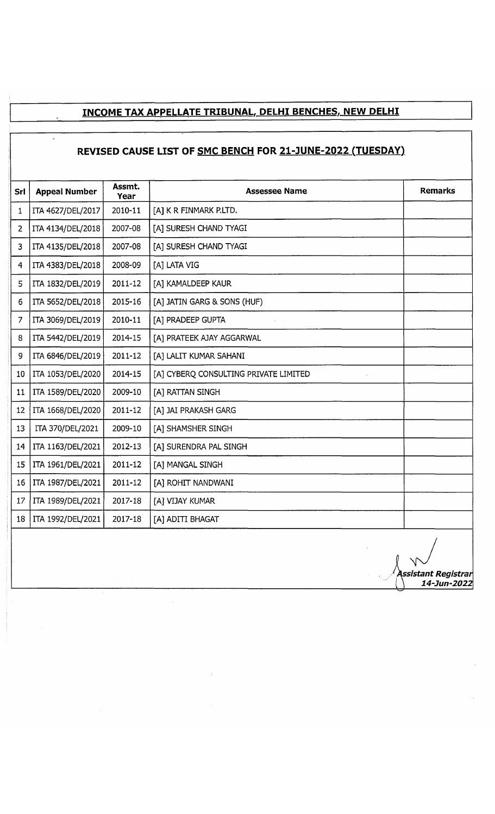# **INCOME TAX APPELLATE TRIBUNAL, DELHI BENCHES, NEW DELHI**

### **REVISED CAUSE LIST OF SMC BENCH FOR 21-JUNE-2022 (TUESDAY)**

|                 | Assmt.               |         |                                       |                |  |  |
|-----------------|----------------------|---------|---------------------------------------|----------------|--|--|
| Srl             | <b>Appeal Number</b> | Year    | <b>Assessee Name</b>                  | <b>Remarks</b> |  |  |
| 1               | ITA 4627/DEL/2017    | 2010-11 | [A] K R FINMARK P.LTD.                |                |  |  |
| 2               | ITA 4134/DEL/2018    | 2007-08 | [A] SURESH CHAND TYAGI                |                |  |  |
| 3               | ITA 4135/DEL/2018    | 2007-08 | [A] SURESH CHAND TYAGI                |                |  |  |
| 4               | ITA 4383/DEL/2018    | 2008-09 | [A] LATA VIG                          |                |  |  |
| 5               | ITA 1832/DEL/2019    | 2011-12 | [A] KAMALDEEP KAUR                    |                |  |  |
| 6               | ITA 5652/DEL/2018    | 2015-16 | [A] JATIN GARG & SONS (HUF)           |                |  |  |
| 7               | ITA 3069/DEL/2019    | 2010-11 | [A] PRADEEP GUPTA                     |                |  |  |
| 8               | ITA 5442/DEL/2019    | 2014-15 | [A] PRATEEK AJAY AGGARWAL             |                |  |  |
| 9               | ITA 6846/DEL/2019    | 2011-12 | [A] LALIT KUMAR SAHANI                |                |  |  |
| 10 <sub>1</sub> | ITA 1053/DEL/2020    | 2014-15 | [A] CYBERQ CONSULTING PRIVATE LIMITED |                |  |  |
| 11              | ITA 1589/DEL/2020    | 2009-10 | [A] RATTAN SINGH                      |                |  |  |
| 12              | ITA 1668/DEL/2020    | 2011-12 | [A] JAI PRAKASH GARG                  |                |  |  |
| 13              | ITA 370/DEL/2021     | 2009-10 | [A] SHAMSHER SINGH                    |                |  |  |
| 14              | ITA 1163/DEL/2021    | 2012-13 | [A] SURENDRA PAL SINGH                |                |  |  |
| 15              | ITA 1961/DEL/2021    | 2011-12 | [A] MANGAL SINGH                      |                |  |  |
| 16              | ITA 1987/DEL/2021    | 2011-12 | [A] ROHIT NANDWANI                    |                |  |  |
| 17              | ITA 1989/DEL/2021    | 2017-18 | [A] VIJAY KUMAR                       |                |  |  |
| 18              | ITA 1992/DEL/2021    | 2017-18 | [A] ADITI BHAGAT                      |                |  |  |

A . */ Assistant Registrar* [ \ *14-Jun-2022*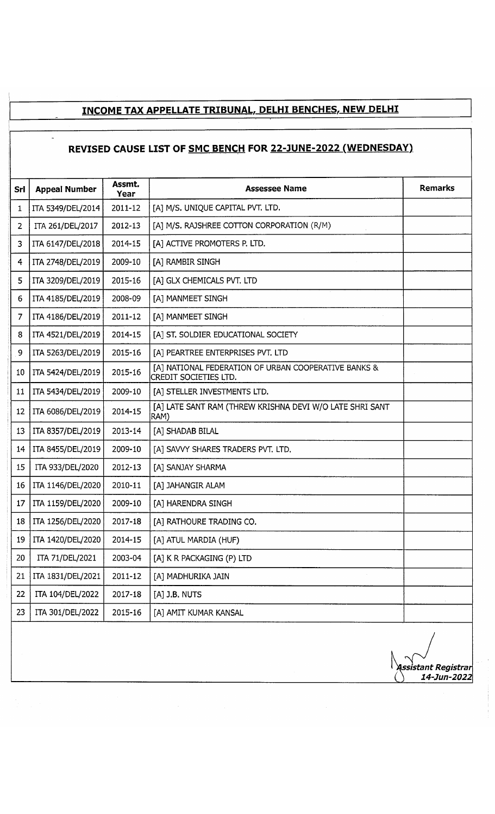### **INCOME TAX APPELLATE TRIBUNAL, DELHI BENCHES, NEW DELHI**

# **REVISED CAUSE LIST OF SMC BENCH FOR 22-JUNE-2022 (WEDNESDAY)**

 $\overline{a}$ 

| Srl | <b>Appeal Number</b> | Assmt.<br>Year | <b>Assessee Name</b>                                                          | <b>Remarks</b> |  |
|-----|----------------------|----------------|-------------------------------------------------------------------------------|----------------|--|
| 1   | ITA 5349/DEL/2014    | 2011-12        | [A] M/S. UNIQUE CAPITAL PVT. LTD.                                             |                |  |
| 2   | ITA 261/DEL/2017     | 2012-13        | [A] M/S. RAJSHREE COTTON CORPORATION (R/M)                                    |                |  |
| 3   | ITA 6147/DEL/2018    | 2014-15        | [A] ACTIVE PROMOTERS P. LTD.                                                  |                |  |
| 4   | ITA 2748/DEL/2019    | 2009-10        | [A] RAMBIR SINGH                                                              |                |  |
| 5   | ITA 3209/DEL/2019    | 2015-16        | [A] GLX CHEMICALS PVT. LTD                                                    |                |  |
| 6   | ITA 4185/DEL/2019    | 2008-09        | [A] MANMEET SINGH                                                             |                |  |
| 7   | ITA 4186/DEL/2019    | 2011-12        | [A] MANMEET SINGH                                                             |                |  |
| 8   | ITA 4521/DEL/2019    | 2014-15        | [A] ST. SOLDIER EDUCATIONAL SOCIETY                                           |                |  |
| 9   | ITA 5263/DEL/2019    | 2015-16        | [A] PEARTREE ENTERPRISES PVT. LTD                                             |                |  |
| 10  | ITA 5424/DEL/2019    | 2015-16        | [A] NATIONAL FEDERATION OF URBAN COOPERATIVE BANKS &<br>CREDIT SOCIETIES LTD. |                |  |
| 11  | ITA 5434/DEL/2019    | 2009-10        | [A] STELLER INVESTMENTS LTD.                                                  |                |  |
| 12  | ITA 6086/DEL/2019    | 2014-15        | [A] LATE SANT RAM (THREW KRISHNA DEVI W/O LATE SHRI SANT<br>RAM)              |                |  |
| 13  | ITA 8357/DEL/2019    | 2013-14        | [A] SHADAB BILAL                                                              |                |  |
| 14  | ITA 8455/DEL/2019    | 2009-10        | [A] SAVVY SHARES TRADERS PVT. LTD.                                            |                |  |
| 15  | ITA 933/DEL/2020     | 2012-13        | [A] SANJAY SHARMA                                                             |                |  |
| 16  | ITA 1146/DEL/2020    | 2010-11        | [A] JAHANGIR ALAM                                                             |                |  |
| 17  | ITA 1159/DEL/2020    | 2009-10        | [A] HARENDRA SINGH                                                            |                |  |
| 18  | ITA 1256/DEL/2020    | 2017-18        | [A] RATHOURE TRADING CO.                                                      |                |  |
| 19  | ITA 1420/DEL/2020    | 2014-15        | [A] ATUL MARDIA (HUF)                                                         |                |  |
| 20  | ITA 71/DEL/2021      | 2003-04        | [A] K R PACKAGING (P) LTD                                                     |                |  |
| 21  | ITA 1831/DEL/2021    | 2011-12        | [A] MADHURIKA JAIN                                                            |                |  |
| 22  | ITA 104/DEL/2022     | 2017-18        | [A] J.B. NUTS                                                                 |                |  |
| 23  | ITA 301/DEL/2022     | 2015-16        | [A] AMIT KUMAR KANSAL                                                         |                |  |

*\issistant Registrar ( ) 14-Jun-2022*